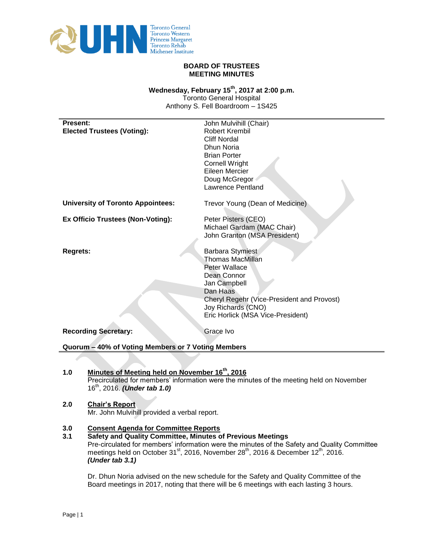

## **BOARD OF TRUSTEES MEETING MINUTES**

# Wednesday, February 15<sup>th</sup>, 2017 at 2:00 p.m.

Toronto General Hospital Anthony S. Fell Boardroom – 1S425

| <b>Present:</b>                                    | John Mulvihill (Chair)                     |
|----------------------------------------------------|--------------------------------------------|
| <b>Elected Trustees (Voting):</b>                  | Robert Krembil                             |
|                                                    | <b>Cliff Nordal</b>                        |
|                                                    | Dhun Noria                                 |
|                                                    | <b>Brian Porter</b>                        |
|                                                    | <b>Cornell Wright</b>                      |
|                                                    | Eileen Mercier                             |
|                                                    | Doug McGregor                              |
|                                                    | Lawrence Pentland                          |
|                                                    |                                            |
| <b>University of Toronto Appointees:</b>           | Trevor Young (Dean of Medicine)            |
|                                                    |                                            |
| <b>Ex Officio Trustees (Non-Voting):</b>           | Peter Pisters (CEO)                        |
|                                                    | Michael Gardam (MAC Chair)                 |
|                                                    | John Granton (MSA President)               |
|                                                    |                                            |
| <b>Regrets:</b>                                    | Barbara Stymiest                           |
|                                                    | <b>Thomas MacMillan</b>                    |
|                                                    | <b>Peter Wallace</b>                       |
|                                                    | Dean Connor                                |
|                                                    | Jan Campbell                               |
|                                                    | Dan Haas                                   |
|                                                    | Cheryl Regehr (Vice-President and Provost) |
|                                                    | Joy Richards (CNO)                         |
|                                                    | Eric Horlick (MSA Vice-President)          |
| <b>Recording Secretary:</b>                        | Grace Ivo                                  |
|                                                    |                                            |
| Quorum - 40% of Voting Members or 7 Voting Members |                                            |

1.0 Minutes of Meeting held on November 16<sup>th</sup>, 2016 Precirculated for members' information were the minutes of the meeting held on November 16<sup>th</sup>, 2016. *(Under tab 1.0)* 

# **2.0 Chair's Report** Mr. John Mulvihill provided a verbal report.

# **3.0 Consent Agenda for Committee Reports**

**3.1 Safety and Quality Committee, Minutes of Previous Meetings**  Pre-circulated for members' information were the minutes of the Safety and Quality Committee meetings held on October 31<sup>st</sup>, 2016, November 28<sup>th</sup>, 2016 & December 12<sup>th</sup>, 2016. *(Under tab 3.1)*

Dr. Dhun Noria advised on the new schedule for the Safety and Quality Committee of the Board meetings in 2017, noting that there will be 6 meetings with each lasting 3 hours.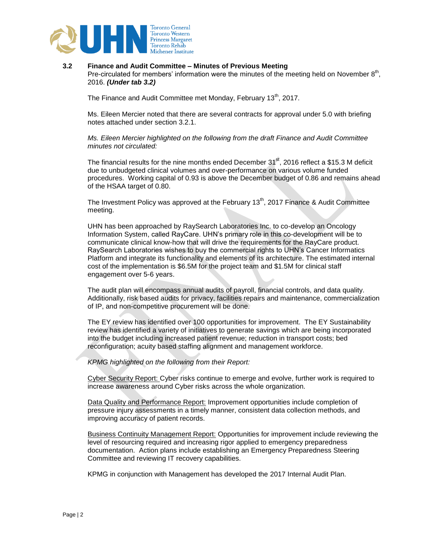

#### **3.2 Finance and Audit Committee – Minutes of Previous Meeting**

Pre-circulated for members' information were the minutes of the meeting held on November  $8<sup>th</sup>$ , 2016. *(Under tab 3.2)*

The Finance and Audit Committee met Monday, February 13<sup>th</sup>, 2017.

Ms. Eileen Mercier noted that there are several contracts for approval under 5.0 with briefing notes attached under section 3.2.1.

*Ms. Eileen Mercier highlighted on the following from the draft Finance and Audit Committee minutes not circulated:*

The financial results for the nine months ended December  $31<sup>st</sup>$ , 2016 reflect a \$15.3 M deficit due to unbudgeted clinical volumes and over-performance on various volume funded procedures. Working capital of 0.93 is above the December budget of 0.86 and remains ahead of the HSAA target of 0.80.

The Investment Policy was approved at the February  $13<sup>th</sup>$ , 2017 Finance & Audit Committee meeting.

UHN has been approached by RaySearch Laboratories Inc. to co-develop an Oncology Information System, called RayCare. UHN's primary role in this co-development will be to communicate clinical know-how that will drive the requirements for the RayCare product. RaySearch Laboratories wishes to buy the commercial rights to UHN's Cancer Informatics Platform and integrate its functionality and elements of its architecture. The estimated internal cost of the implementation is \$6.5M for the project team and \$1.5M for clinical staff engagement over 5-6 years.

The audit plan will encompass annual audits of payroll, financial controls, and data quality. Additionally, risk based audits for privacy, facilities repairs and maintenance, commercialization of IP, and non-competitive procurement will be done.

The EY review has identified over 100 opportunities for improvement. The EY Sustainability review has identified a variety of initiatives to generate savings which are being incorporated into the budget including increased patient revenue; reduction in transport costs; bed reconfiguration; acuity based staffing alignment and management workforce.

*KPMG highlighted on the following from their Report:*

Cyber Security Report: Cyber risks continue to emerge and evolve, further work is required to increase awareness around Cyber risks across the whole organization.

Data Quality and Performance Report: Improvement opportunities include completion of pressure injury assessments in a timely manner, consistent data collection methods, and improving accuracy of patient records.

Business Continuity Management Report: Opportunities for improvement include reviewing the level of resourcing required and increasing rigor applied to emergency preparedness documentation. Action plans include establishing an Emergency Preparedness Steering Committee and reviewing IT recovery capabilities.

KPMG in conjunction with Management has developed the 2017 Internal Audit Plan.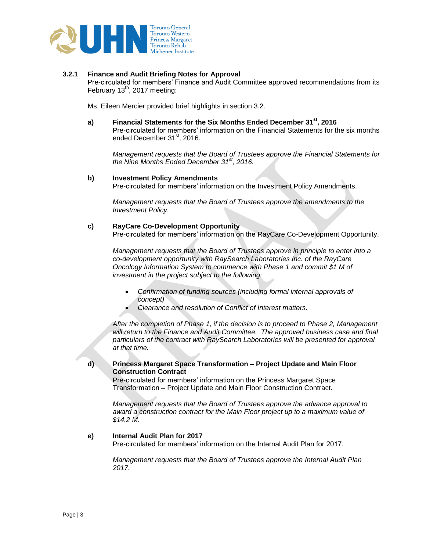

### **3.2.1 Finance and Audit Briefing Notes for Approval**

Pre-circulated for members' Finance and Audit Committee approved recommendations from its February  $13<sup>th</sup>$ , 2017 meeting:

Ms. Eileen Mercier provided brief highlights in section 3.2.

**a) Financial Statements for the Six Months Ended December 31st, 2016** Pre-circulated for members' information on the Financial Statements for the six months ended December 31<sup>st</sup>, 2016.

*Management requests that the Board of Trustees approve the Financial Statements for the Nine Months Ended December 31st, 2016.*

#### **b) Investment Policy Amendments**

Pre-circulated for members' information on the Investment Policy Amendments.

*Management requests that the Board of Trustees approve the amendments to the Investment Policy.*

#### **c) RayCare Co-Development Opportunity**

Pre-circulated for members' information on the RayCare Co-Development Opportunity.

*Management requests that the Board of Trustees approve in principle to enter into a co-development opportunity with RaySearch Laboratories Inc. of the RayCare Oncology Information System to commence with Phase 1 and commit \$1 M of investment in the project subject to the following:*

- *Confirmation of funding sources (including formal internal approvals of concept)*
- *Clearance and resolution of Conflict of Interest matters.*

*After the completion of Phase 1, if the decision is to proceed to Phase 2, Management will return to the Finance and Audit Committee. The approved business case and final particulars of the contract with RaySearch Laboratories will be presented for approval at that time.* 

### **d) Princess Margaret Space Transformation – Project Update and Main Floor Construction Contract**

Pre-circulated for members' information on the Princess Margaret Space Transformation – Project Update and Main Floor Construction Contract.

*Management requests that the Board of Trustees approve the advance approval to award a construction contract for the Main Floor project up to a maximum value of \$14.2 M.*

# **e) Internal Audit Plan for 2017**

Pre-circulated for members' information on the Internal Audit Plan for 2017.

*Management requests that the Board of Trustees approve the Internal Audit Plan 2017.*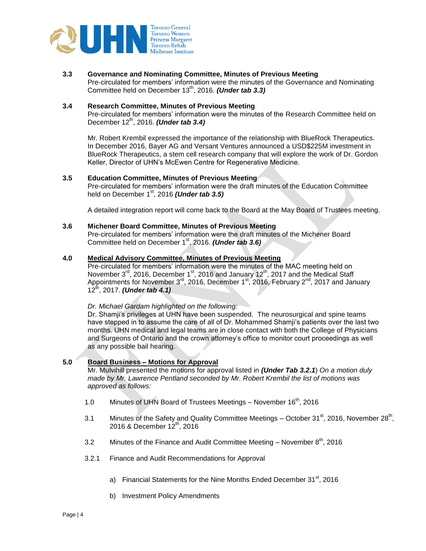

**3.3 Governance and Nominating Committee, Minutes of Previous Meeting**  Pre-circulated for members' information were the minutes of the Governance and Nominating Committee held on December 13<sup>th</sup>, 2016. *(Under tab 3.3)* 

### **3.4 Research Committee, Minutes of Previous Meeting**

Pre-circulated for members' information were the minutes of the Research Committee held on December 12<sup>th</sup>, 2016. *(Under tab 3.4)* 

Mr. Robert Krembil expressed the importance of the relationship with BlueRock Therapeutics. In December 2016, Bayer AG and Versant Ventures announced a USD\$225M investment in BlueRock Therapeutics, a stem cell research company that will explore the work of Dr. Gordon Keller, Director of UHN's McEwen Centre for Regenerative Medicine.

#### **3.5 Education Committee, Minutes of Previous Meeting**

Pre-circulated for members' information were the draft minutes of the Education Committee held on December 1<sup>st</sup>, 2016 *(Under tab 3.5)* 

A detailed integration report will come back to the Board at the May Board of Trustees meeting.

#### **3.6 Michener Board Committee, Minutes of Previous Meeting**

Pre-circulated for members' information were the draft minutes of the Michener Board Committee held on December 1st, 2016. *(Under tab 3.6)*

### **4.0 Medical Advisory Committee, Minutes of Previous Meeting**

Pre-circulated for members' information were the minutes of the MAC meeting held on November  $3^{rd}$ , 2016, December 1<sup>st</sup>, 2016 and January 12<sup>th</sup>, 2017 and the Medical Staff Appointments for November 3<sup>rd</sup>, 2016, December 1<sup>st</sup>, 2016, February 2<sup>nd</sup>, 2017 and January 12th, 2017. *(Under tab 4.1)*

### *Dr. Michael Gardam highlighted on the following:*

Dr. Shamji's privileges at UHN have been suspended. The neurosurgical and spine teams have stepped in to assume the care of all of Dr. Mohammed Shamji's patients over the last two months. UHN medical and legal teams are in close contact with both the College of Physicians and Surgeons of Ontario and the crown attorney's office to monitor court proceedings as well as any possible bail hearing.

### **5.0 Board Business – Motions for Approval**

Mr. Mulvihill presented the motions for approval listed in *(Under Tab 3.2.1*) *On a motion duly made by Mr. Lawrence Pentland seconded by Mr. Robert Krembil the list of motions was approved as follows:*

- 1.0 Minutes of UHN Board of Trustees Meetings November 16<sup>th</sup>, 2016
- 3.1 Minutes of the Safety and Quality Committee Meetings October  $31<sup>st</sup>$ , 2016, November 28<sup>th</sup>, 2016 & December 12<sup>th</sup>, 2016
- 3.2 Minutes of the Finance and Audit Committee Meeting November  $8<sup>th</sup>$ , 2016
- 3.2.1 Finance and Audit Recommendations for Approval
	- a) Financial Statements for the Nine Months Ended December  $31<sup>st</sup>$ , 2016
	- b) Investment Policy Amendments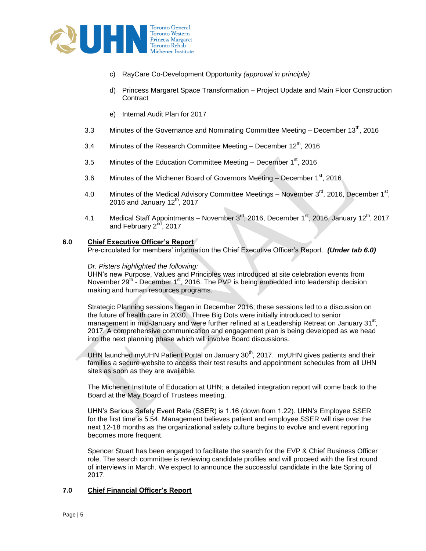

- c) RayCare Co-Development Opportunity *(approval in principle)*
- d) Princess Margaret Space Transformation Project Update and Main Floor Construction **Contract**
- e) Internal Audit Plan for 2017
- 3.3 Minutes of the Governance and Nominating Committee Meeting December  $13<sup>th</sup>$ , 2016
- 3.4 Minutes of the Research Committee Meeting December  $12^{th}$ , 2016
- 3.5 Minutes of the Education Committee Meeting December  $1<sup>st</sup>$ , 2016
- 3.6 Minutes of the Michener Board of Governors Meeting December  $1<sup>st</sup>$ , 2016
- 4.0 Minutes of the Medical Advisory Committee Meetings November  $3^{\text{rd}}$ , 2016, December 1<sup>st</sup>, 2016 and January  $12<sup>th</sup>$ , 2017
- 4.1 Medical Staff Appointments November  $3^{rd}$ , 2016, December  $1^{st}$ , 2016, January 12<sup>th</sup>, 2017 and February  $2<sup>nd</sup>$ , 2017

### **6.0 Chief Executive Officer's Report**

Pre-circulated for members' information the Chief Executive Officer's Report. *(Under tab 6.0)*

### *Dr. Pisters highlighted the following:*

UHN's new Purpose, Values and Principles was introduced at site celebration events from November  $29<sup>th</sup>$  - December 1<sup>st</sup>, 2016. The PVP is being embedded into leadership decision making and human resources programs.

Strategic Planning sessions began in December 2016; these sessions led to a discussion on the future of health care in 2030. Three Big Dots were initially introduced to senior management in mid-January and were further refined at a Leadership Retreat on January 31<sup>st</sup>. 2017. A comprehensive communication and engagement plan is being developed as we head into the next planning phase which will involve Board discussions.

UHN launched myUHN Patient Portal on January 30<sup>th</sup>, 2017. myUHN gives patients and their families a secure website to access their test results and appointment schedules from all UHN sites as soon as they are available.

The Michener Institute of Education at UHN; a detailed integration report will come back to the Board at the May Board of Trustees meeting.

UHN's Serious Safety Event Rate (SSER) is 1.16 (down from 1.22). UHN's Employee SSER for the first time is 5.54. Management believes patient and employee SSER will rise over the next 12-18 months as the organizational safety culture begins to evolve and event reporting becomes more frequent.

Spencer Stuart has been engaged to facilitate the search for the EVP & Chief Business Officer role. The search committee is reviewing candidate profiles and will proceed with the first round of interviews in March. We expect to announce the successful candidate in the late Spring of 2017.

# **7.0 Chief Financial Officer's Report**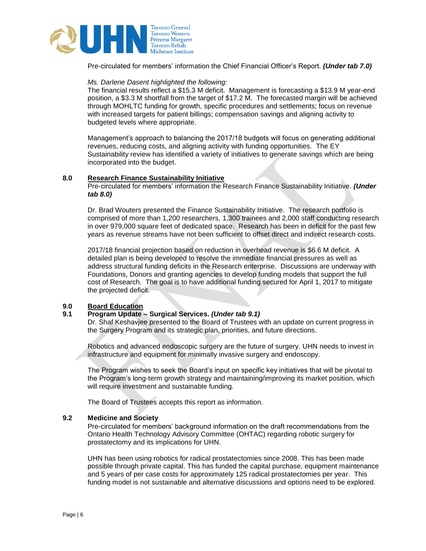

Pre-circulated for members' information the Chief Financial Officer's Report. *(Under tab 7.0)*

### *Ms. Darlene Dasent highlighted the following:*

The financial results reflect a \$15.3 M deficit. Management is forecasting a \$13.9 M year-end position, a \$3.3 M shortfall from the target of \$17.2 M. The forecasted margin will be achieved through MOHLTC funding for growth, specific procedures and settlements; focus on revenue with increased targets for patient billings; compensation savings and aligning activity to budgeted levels where appropriate.

Management's approach to balancing the 2017/18 budgets will focus on generating additional revenues, reducing costs, and aligning activity with funding opportunities. The EY Sustainability review has identified a variety of initiatives to generate savings which are being incorporated into the budget.

#### **8.0 Research Finance Sustainability Initiative**

Pre-circulated for members' information the Research Finance Sustainability Initiative. *(Under tab 8.0)*

Dr. Brad Wouters presented the Finance Sustainability Initiative. The research portfolio is comprised of more than 1,200 researchers, 1,300 trainees and 2,000 staff conducting research in over 979,000 square feet of dedicated space. Research has been in deficit for the past few years as revenue streams have not been sufficient to offset direct and indirect research costs.

2017/18 financial projection based on reduction in overhead revenue is \$6.6 M deficit. A detailed plan is being developed to resolve the immediate financial pressures as well as address structural funding deficits in the Research enterprise. Discussions are underway with Foundations, Donors and granting agencies to develop funding models that support the full cost of Research. The goal is to have additional funding secured for April 1, 2017 to mitigate the projected deficit.

### **9.0 Board Education**

# **9.1 Program Update – Surgical Services.** *(Under tab 9.1)*

Dr. Shaf Keshavjee presented to the Board of Trustees with an update on current progress in the Surgery Program and its strategic plan, priorities, and future directions.

Robotics and advanced endoscopic surgery are the future of surgery. UHN needs to invest in infrastructure and equipment for minimally invasive surgery and endoscopy.

The Program wishes to seek the Board's input on specific key initiatives that will be pivotal to the Program's long-term growth strategy and maintaining/improving its market position, which will require investment and sustainable funding.

The Board of Trustees accepts this report as information.

#### **9.2 Medicine and Society**

Pre-circulated for members' background information on the draft recommendations from the Ontario Health Technology Advisory Committee (OHTAC) regarding robotic surgery for prostatectomy and its implications for UHN.

UHN has been using robotics for radical prostatectomies since 2008. This has been made possible through private capital. This has funded the capital purchase, equipment maintenance and 5 years of per case costs for approximately 125 radical prostatectomies per year. This funding model is not sustainable and alternative discussions and options need to be explored.